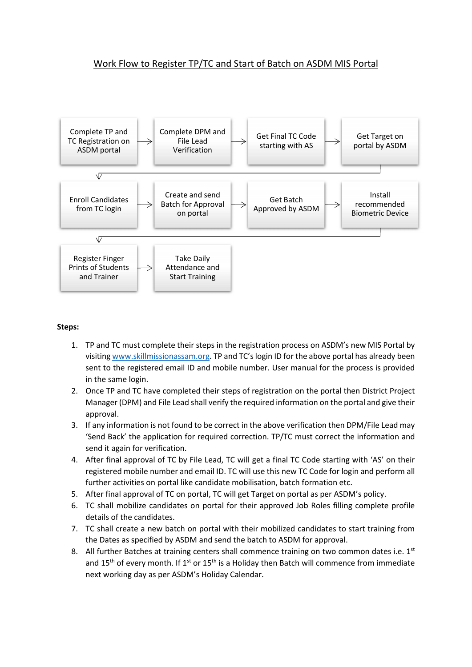## Work Flow to Register TP/TC and Start of Batch on ASDM MIS Portal



## Steps:

- 1. TP and TC must complete their steps in the registration process on ASDM's new MIS Portal by visiting www.skillmissionassam.org. TP and TC's login ID for the above portal has already been sent to the registered email ID and mobile number. User manual for the process is provided in the same login.
- 2. Once TP and TC have completed their steps of registration on the portal then District Project Manager (DPM) and File Lead shall verify the required information on the portal and give their approval.
- 3. If any information is not found to be correct in the above verification then DPM/File Lead may 'Send Back' the application for required correction. TP/TC must correct the information and send it again for verification.
- 4. After final approval of TC by File Lead, TC will get a final TC Code starting with 'AS' on their registered mobile number and email ID. TC will use this new TC Code for login and perform all further activities on portal like candidate mobilisation, batch formation etc.
- 5. After final approval of TC on portal, TC will get Target on portal as per ASDM's policy.
- 6. TC shall mobilize candidates on portal for their approved Job Roles filling complete profile details of the candidates.
- 7. TC shall create a new batch on portal with their mobilized candidates to start training from the Dates as specified by ASDM and send the batch to ASDM for approval.
- 8. All further Batches at training centers shall commence training on two common dates i.e.  $1^{st}$ and 15<sup>th</sup> of every month. If 1<sup>st</sup> or 15<sup>th</sup> is a Holiday then Batch will commence from immediate next working day as per ASDM's Holiday Calendar.